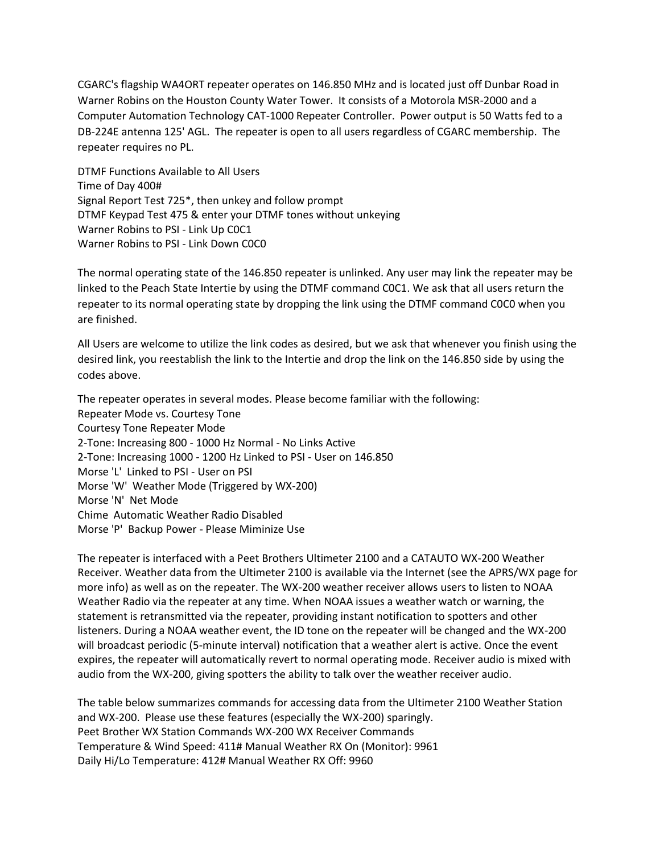CGARC's flagship WA4ORT repeater operates on 146.850 MHz and is located just off Dunbar Road in Warner Robins on the Houston County Water Tower. It consists of a Motorola MSR-2000 and a Computer Automation Technology CAT-1000 Repeater Controller. Power output is 50 Watts fed to a DB-224E antenna 125' AGL. The repeater is open to all users regardless of CGARC membership. The repeater requires no PL.

DTMF Functions Available to All Users Time of Day 400# Signal Report Test 725\*, then unkey and follow prompt DTMF Keypad Test 475 & enter your DTMF tones without unkeying Warner Robins to PSI - Link Up C0C1 Warner Robins to PSI - Link Down C0C0

The normal operating state of the 146.850 repeater is unlinked. Any user may link the repeater may be linked to the Peach State Intertie by using the DTMF command C0C1. We ask that all users return the repeater to its normal operating state by dropping the link using the DTMF command C0C0 when you are finished.

All Users are welcome to utilize the link codes as desired, but we ask that whenever you finish using the desired link, you reestablish the link to the Intertie and drop the link on the 146.850 side by using the codes above.

The repeater operates in several modes. Please become familiar with the following: Repeater Mode vs. Courtesy Tone Courtesy Tone Repeater Mode 2-Tone: Increasing 800 - 1000 Hz Normal - No Links Active 2-Tone: Increasing 1000 - 1200 Hz Linked to PSI - User on 146.850 Morse 'L' Linked to PSI - User on PSI Morse 'W' Weather Mode (Triggered by WX-200) Morse 'N' Net Mode Chime Automatic Weather Radio Disabled Morse 'P' Backup Power - Please Miminize Use

The repeater is interfaced with a Peet Brothers Ultimeter 2100 and a CATAUTO WX-200 Weather Receiver. Weather data from the Ultimeter 2100 is available via the Internet (see the APRS/WX page for more info) as well as on the repeater. The WX-200 weather receiver allows users to listen to NOAA Weather Radio via the repeater at any time. When NOAA issues a weather watch or warning, the statement is retransmitted via the repeater, providing instant notification to spotters and other listeners. During a NOAA weather event, the ID tone on the repeater will be changed and the WX-200 will broadcast periodic (5-minute interval) notification that a weather alert is active. Once the event expires, the repeater will automatically revert to normal operating mode. Receiver audio is mixed with audio from the WX-200, giving spotters the ability to talk over the weather receiver audio.

The table below summarizes commands for accessing data from the Ultimeter 2100 Weather Station and WX-200. Please use these features (especially the WX-200) sparingly. Peet Brother WX Station Commands WX-200 WX Receiver Commands Temperature & Wind Speed: 411# Manual Weather RX On (Monitor): 9961 Daily Hi/Lo Temperature: 412# Manual Weather RX Off: 9960